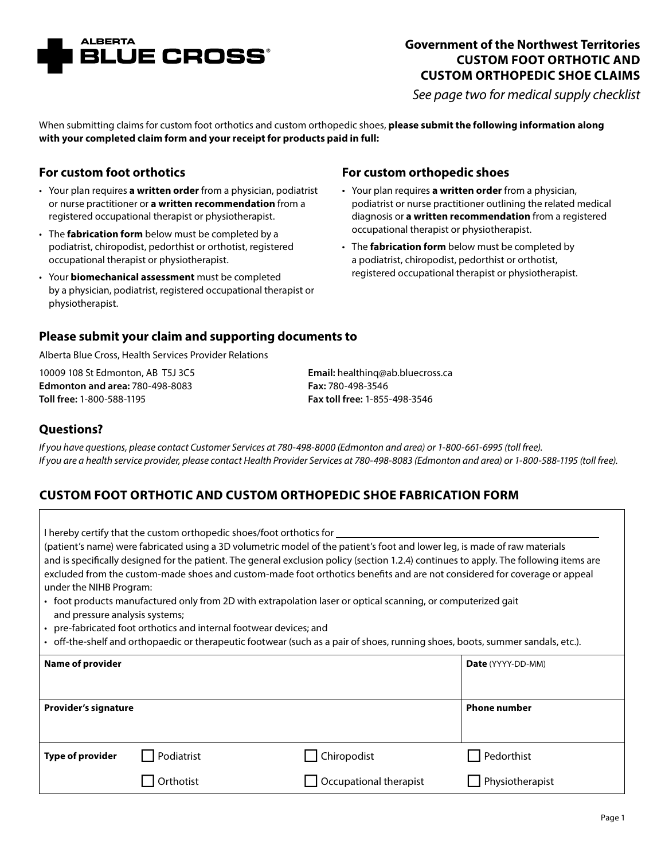

# **Government of the Northwest Territories CUSTOM FOOT ORTHOTIC AND CUSTOM ORTHOPEDIC SHOE CLAIMS**

*See page two for medical supply checklist*

When submitting claims for custom foot orthotics and custom orthopedic shoes, **please submit the following information along with your completed claim form and your receipt for products paid in full:**

## **For custom foot orthotics**

- Your plan requires **a written order** from a physician, podiatrist or nurse practitioner or **a written recommendation** from a registered occupational therapist or physiotherapist.
- The **fabrication form** below must be completed by a podiatrist, chiropodist, pedorthist or orthotist, registered occupational therapist or physiotherapist.
- Your **biomechanical assessment** must be completed by a physician, podiatrist, registered occupational therapist or physiotherapist.

## **For custom orthopedic shoes**

- Your plan requires **a written order** from a physician, podiatrist or nurse practitioner outlining the related medical diagnosis or **a written recommendation** from a registered occupational therapist or physiotherapist.
- The **fabrication form** below must be completed by a podiatrist, chiropodist, pedorthist or orthotist, registered occupational therapist or physiotherapist.

#### **Please submit your claim and supporting documents to**

Alberta Blue Cross, Health Services Provider Relations

10009 108 St Edmonton, AB T5J 3C5 **Edmonton and area:** 780-498-8083 **Toll free:** 1-800-588-1195

**Email:** healthinq@ab.bluecross.ca **Fax:** 780-498-3546 **Fax toll free:** 1-855-498-3546

#### **Questions?**

*If you have questions, please contact Customer Services at 780-498-8000 (Edmonton and area) or 1-800-661-6995 (toll free). If you are a health service provider, please contact Health Provider Services at 780-498-8083 (Edmonton and area) or 1-800-588-1195 (toll free).*

## **CUSTOM FOOT ORTHOTIC AND CUSTOM ORTHOPEDIC SHOE FABRICATION FORM**

| I hereby certify that the custom orthopedic shoes/foot orthotics for<br>(patient's name) were fabricated using a 3D volumetric model of the patient's foot and lower leg, is made of raw materials<br>and is specifically designed for the patient. The general exclusion policy (section 1.2.4) continues to apply. The following items are<br>excluded from the custom-made shoes and custom-made foot orthotics benefits and are not considered for coverage or appeal<br>under the NIHB Program:<br>• foot products manufactured only from 2D with extrapolation laser or optical scanning, or computerized gait<br>and pressure analysis systems;<br>• pre-fabricated foot orthotics and internal footwear devices; and<br>• off-the-shelf and orthopaedic or therapeutic footwear (such as a pair of shoes, running shoes, boots, summer sandals, etc.). |                  |                        |                     |  |
|----------------------------------------------------------------------------------------------------------------------------------------------------------------------------------------------------------------------------------------------------------------------------------------------------------------------------------------------------------------------------------------------------------------------------------------------------------------------------------------------------------------------------------------------------------------------------------------------------------------------------------------------------------------------------------------------------------------------------------------------------------------------------------------------------------------------------------------------------------------|------------------|------------------------|---------------------|--|
| <b>Name of provider</b>                                                                                                                                                                                                                                                                                                                                                                                                                                                                                                                                                                                                                                                                                                                                                                                                                                        |                  |                        | Date (YYYY-DD-MM)   |  |
| <b>Provider's signature</b>                                                                                                                                                                                                                                                                                                                                                                                                                                                                                                                                                                                                                                                                                                                                                                                                                                    |                  |                        | <b>Phone number</b> |  |
| <b>Type of provider</b>                                                                                                                                                                                                                                                                                                                                                                                                                                                                                                                                                                                                                                                                                                                                                                                                                                        | Podiatrist       | Chiropodist            | Pedorthist          |  |
|                                                                                                                                                                                                                                                                                                                                                                                                                                                                                                                                                                                                                                                                                                                                                                                                                                                                | <b>Orthotist</b> | Occupational therapist | Physiotherapist     |  |